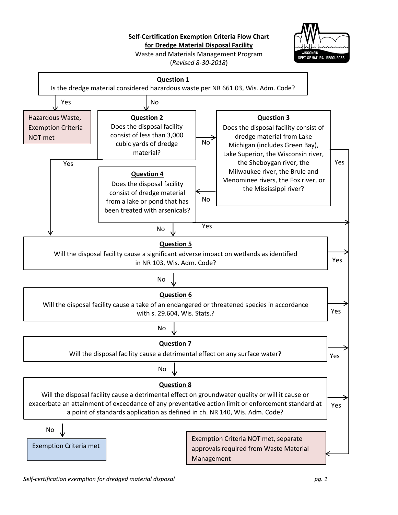**Self-Certification Exemption Criteria Flow Chart** 

**for Dredge Material Disposal Facility** 

Waste and Materials Management Program (*Revised 8-30-2018*)



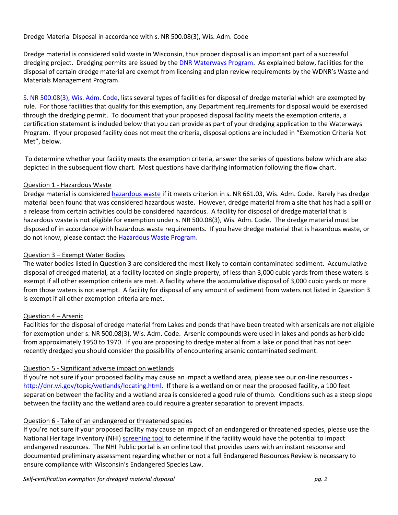### Dredge Material Disposal in accordance with s. NR 500.08(3), Wis. Adm. Code

Dredge material is considered solid waste in Wisconsin, thus proper disposal is an important part of a successful dredging project. Dredging permits are issued by the [DNR Waterways Program.](http://dnr.wi.gov/topic/waterways/) As explained below, facilities for the disposal of certain dredge material are exempt from licensing and plan review requirements by the WDNR's Waste and Materials Management Program.

[S. NR 500.08\(3\), Wis. Adm. Code,](http://docs.legis.wisconsin.gov/code/admin_code/nr/500/500/08/3?view=section) lists several types of facilities for disposal of dredge material which are exempted by rule. For those facilities that qualify for this exemption, any Department requirements for disposal would be exercised through the dredging permit. To document that your proposed disposal facility meets the exemption criteria, a certification statement is included below that you can provide as part of your dredging application to the Waterways Program. If your proposed facility does not meet the criteria, disposal options are included in "Exemption Criteria Not Met", below.

To determine whether your facility meets the exemption criteria, answer the series of questions below which are also depicted in the subsequent flow chart. Most questions have clarifying information following the flow chart.

## Question 1 - Hazardous Waste

Dredge material is considered [hazardous waste](http://dnr.wi.gov/files/PDF/pubs/wa/wa1152.pdf) if it meets criterion in s. NR 661.03, Wis. Adm. Code. Rarely has dredge material been found that was considered hazardous waste. However, dredge material from a site that has had a spill or a release from certain activities could be considered hazardous. A facility for disposal of dredge material that is hazardous waste is not eligible for exemption under s. NR 500.08(3), Wis. Adm. Code. The dredge material must be disposed of in accordance with hazardous waste requirements. If you have dredge material that is hazardous waste, or do not know, please contact the **Hazardous Waste Program**.

## Question 3 – Exempt Water Bodies

The water bodies listed in Question 3 are considered the most likely to contain contaminated sediment. Accumulative disposal of dredged material, at a facility located on single property, of less than 3,000 cubic yards from these waters is exempt if all other exemption criteria are met. A facility where the accumulative disposal of 3,000 cubic yards or more from those waters is not exempt. A facility for disposal of any amount of sediment from waters not listed in Question 3 is exempt if all other exemption criteria are met.

# Question 4 – Arsenic

Facilities for the disposal of dredge material from Lakes and ponds that have been treated with arsenicals are not eligible for exemption under s. NR 500.08(3), Wis. Adm. Code. Arsenic compounds were used in lakes and ponds as herbicide from approximately 1950 to 1970. If you are proposing to dredge material from a lake or pond that has not been recently dredged you should consider the possibility of encountering arsenic contaminated sediment.

# Question 5 - Significant adverse impact on wetlands

If you're not sure if your proposed facility may cause an impact a wetland area, please see our on-line resources [http://dnr.wi.gov/topic/wetlands/locating.html.](http://dnr.wi.gov/topic/wetlands/locating.html) If there is a wetland on or near the proposed facility, a 100 feet separation between the facility and a wetland area is considered a good rule of thumb. Conditions such as a steep slope between the facility and the wetland area could require a greater separation to prevent impacts.

#### Question 6 - Take of an endangered or threatened species

If you're not sure if your proposed facility may cause an impact of an endangered or threatened species, please use the National Heritage Inventory (NHI[\) screening tool](http://dnr.wi.gov/topic/ERReview/PublicPortal.html) to determine if the facility would have the potential to impact endangered resources. The NHI Public portal is an online tool that provides users with an instant response and documented preliminary assessment regarding whether or not a full Endangered Resources Review is necessary to ensure compliance with Wisconsin's Endangered Species Law.